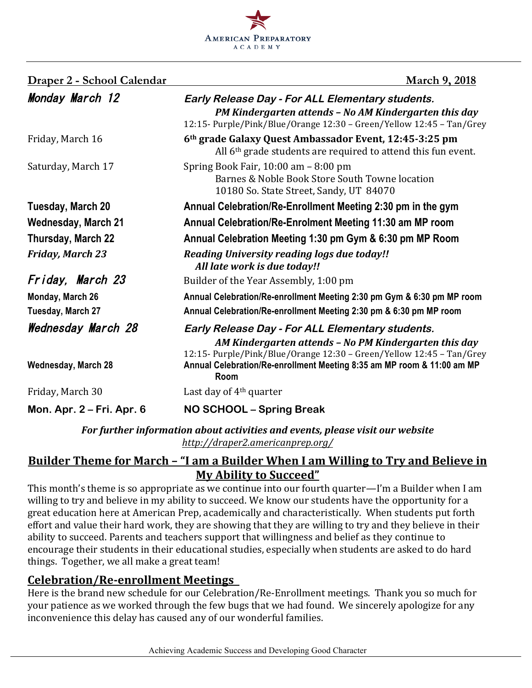

| Draper 2 - School Calendar | <b>March 9, 2018</b>                                                                                                                                                                     |
|----------------------------|------------------------------------------------------------------------------------------------------------------------------------------------------------------------------------------|
| Monday March 12            | Early Release Day - For ALL Elementary students.<br>PM Kindergarten attends - No AM Kindergarten this day<br>12:15- Purple/Pink/Blue/Orange 12:30 - Green/Yellow 12:45 - Tan/Grey        |
| Friday, March 16           | 6th grade Galaxy Quest Ambassador Event, 12:45-3:25 pm<br>All 6 <sup>th</sup> grade students are required to attend this fun event.                                                      |
| Saturday, March 17         | Spring Book Fair, 10:00 am - 8:00 pm<br>Barnes & Noble Book Store South Towne location<br>10180 So. State Street, Sandy, UT 84070                                                        |
| Tuesday, March 20          | Annual Celebration/Re-Enrollment Meeting 2:30 pm in the gym                                                                                                                              |
| <b>Wednesday, March 21</b> | Annual Celebration/Re-Enrolment Meeting 11:30 am MP room                                                                                                                                 |
| Thursday, March 22         | Annual Celebration Meeting 1:30 pm Gym & 6:30 pm MP Room                                                                                                                                 |
| <b>Friday, March 23</b>    | <b>Reading University reading logs due today!!</b><br>All late work is due today!!                                                                                                       |
| Friday, March 23           | Builder of the Year Assembly, 1:00 pm                                                                                                                                                    |
| Monday, March 26           | Annual Celebration/Re-enrollment Meeting 2:30 pm Gym & 6:30 pm MP room                                                                                                                   |
| Tuesday, March 27          | Annual Celebration/Re-enrollment Meeting 2:30 pm & 6:30 pm MP room                                                                                                                       |
| Wednesday March 28         | <b>Early Release Day - For ALL Elementary students.</b><br>AM Kindergarten attends - No PM Kindergarten this day<br>12:15- Purple/Pink/Blue/Orange 12:30 - Green/Yellow 12:45 - Tan/Grey |
| <b>Wednesday, March 28</b> | Annual Celebration/Re-enrollment Meeting 8:35 am MP room & 11:00 am MP<br>Room                                                                                                           |
| Friday, March 30           | Last day of $4th$ quarter                                                                                                                                                                |
| Mon. Apr. 2 – Fri. Apr. 6  | <b>NO SCHOOL - Spring Break</b>                                                                                                                                                          |

For further information about activities and events, please visit our website *http://draper2.americanprep.org/*

## <u>Builder Theme for March - "I am a Builder When I am Willing to Try and Believe in</u> **My Ability to Succeed"**

This month's theme is so appropriate as we continue into our fourth quarter—I'm a Builder when I am willing to try and believe in my ability to succeed. We know our students have the opportunity for a great education here at American Prep, academically and characteristically. When students put forth effort and value their hard work, they are showing that they are willing to try and they believe in their ability to succeed. Parents and teachers support that willingness and belief as they continue to encourage their students in their educational studies, especially when students are asked to do hard things. Together, we all make a great team!

# **Celebration/Re-enrollment Meetings**

Here is the brand new schedule for our Celebration/Re-Enrollment meetings. Thank you so much for your patience as we worked through the few bugs that we had found. We sincerely apologize for any inconvenience this delay has caused any of our wonderful families.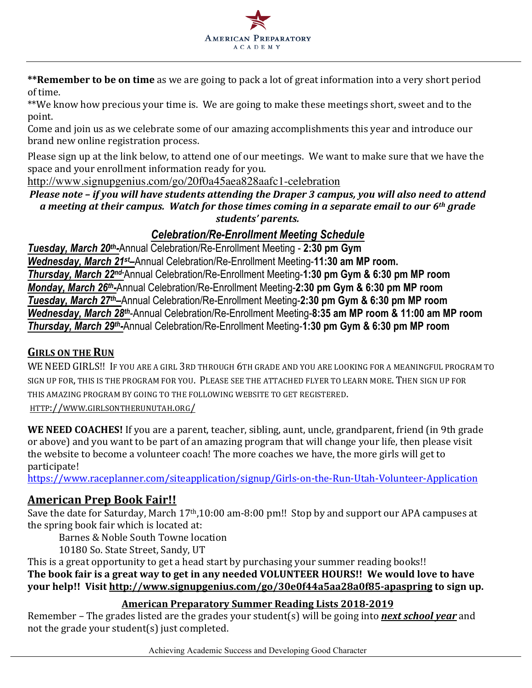

\*\*Remember to be on time as we are going to pack a lot of great information into a very short period of time.

\*\*We know how precious your time is. We are going to make these meetings short, sweet and to the point. 

Come and join us as we celebrate some of our amazing accomplishments this year and introduce our brand new online registration process.

Please sign up at the link below, to attend one of our meetings. We want to make sure that we have the space and your enrollment information ready for you.

http://www.signupgenius.com/go/20f0a45aea828aafc1-celebration

*Please note – if you will have students attending the Draper 3 campus, you will also need to attend a* meeting at their campus. Watch for those times coming in a separate email to our 6<sup>th</sup> grade *students' parents.*

# *Celebration/Re-Enrollment Meeting Schedule*

*Tuesday, March 20th-*Annual Celebration/Re-Enrollment Meeting - **2:30 pm Gym** *Wednesday, March 21st–*Annual Celebration/Re-Enrollment Meeting-**11:30 am MP room.**  *Thursday, March 22nd-*Annual Celebration/Re-Enrollment Meeting-**1:30 pm Gym & 6:30 pm MP room** *Monday, March 26th-*Annual Celebration/Re-Enrollment Meeting-**2:30 pm Gym & 6:30 pm MP room** *Tuesday, March 27th–*Annual Celebration/Re-Enrollment Meeting-**2:30 pm Gym & 6:30 pm MP room** *Wednesday, March 28th*-Annual Celebration/Re-Enrollment Meeting-**8:35 am MP room & 11:00 am MP room** *Thursday, March 29th-*Annual Celebration/Re-Enrollment Meeting-**1:30 pm Gym & 6:30 pm MP room**

## **GIRLS ON THE RUN**

WE NEED GIRLS!! IF YOU ARE A GIRL 3RD THROUGH 6TH GRADE AND YOU ARE LOOKING FOR A MEANINGFUL PROGRAM TO SIGN UP FOR, THIS IS THE PROGRAM FOR YOU. PLEASE SEE THE ATTACHED FLYER TO LEARN MORE. THEN SIGN UP FOR THIS AMAZING PROGRAM BY GOING TO THE FOLLOWING WEBSITE TO GET REGISTERED. HTTP://WWW.GIRLSONTHERUNUTAH.ORG/

WE NEED COACHES! If you are a parent, teacher, sibling, aunt, uncle, grandparent, friend (in 9th grade or above) and you want to be part of an amazing program that will change your life, then please visit the website to become a volunteer coach! The more coaches we have, the more girls will get to participate!

https://www.raceplanner.com/siteapplication/signup/Girls-on-the-Run-Utah-Volunteer-Application

## **American Prep Book Fair!!**

Save the date for Saturday, March 17<sup>th</sup>,10:00 am-8:00 pm!! Stop by and support our APA campuses at the spring book fair which is located at:

Barnes & Noble South Towne location

10180 So. State Street, Sandy, UT

This is a great opportunity to get a head start by purchasing your summer reading books!! The book fair is a great way to get in any needed VOLUNTEER HOURS!! We would love to have your help!! Visit http://www.signupgenius.com/go/30e0f44a5aa28a0f85-apaspring to sign up.

## **American Preparatory Summer Reading Lists 2018-2019**

Remember - The grades listed are the grades your student(s) will be going into *next school year* and not the grade your student(s) just completed.

Achieving Academic Success and Developing Good Character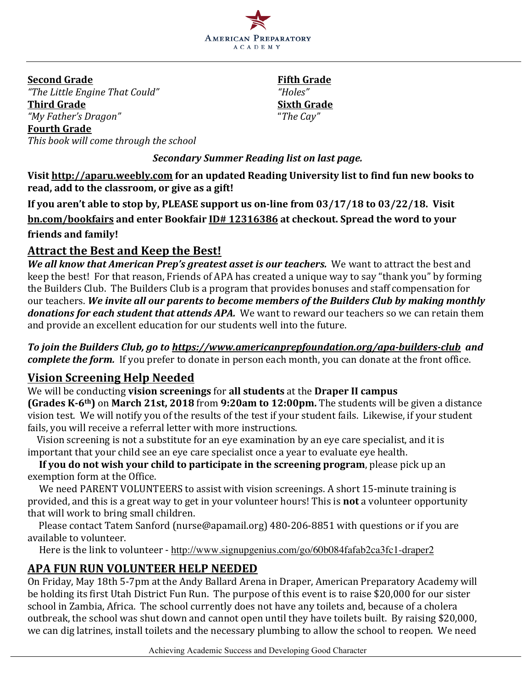

**Second Grade Fifth Grade Fifth Grade** *"The Little Engine That Could" "Holes"* **Third Grade Sixth Grade** *"My Father's Dragon"* "*The Cay"* **Fourth Grade** This book will come through the school

*Secondary Summer Reading list on last page.*

Visit http://aparu.weebly.com for an updated Reading University list to find fun new books to read, add to the classroom, or give as a gift!

If you aren't able to stop by, PLEASE support us on-line from  $03/17/18$  to  $03/22/18$ . Visit

**<u>bn.com/bookfairs</u>** and enter Bookfair **ID# 12316386** at checkout. Spread the word to your **friends and family!**

## **Attract the Best and Keep the Best!**

**We all know that American Prep's greatest asset is our teachers.** We want to attract the best and keep the best! For that reason, Friends of APA has created a unique way to say "thank you" by forming the Builders Club. The Builders Club is a program that provides bonuses and staff compensation for our teachers. We invite all our parents to become members of the Builders Club by making monthly *donations for each student that attends APA.* We want to reward our teachers so we can retain them and provide an excellent education for our students well into the future.

To join the Builders Club, go to https://www.americanprepfoundation.org/apa-builders-club and *complete the form.* If you prefer to donate in person each month, you can donate at the front office.

## **Vision Screening Help Needed**

We will be conducting **vision screenings** for all **students** at the **Draper II campus** 

**(Grades K-6<sup>th</sup>)** on March 21st, 2018 from 9:20am to 12:00pm. The students will be given a distance vision test. We will notify you of the results of the test if your student fails. Likewise, if your student fails, you will receive a referral letter with more instructions.

Vision screening is not a substitute for an eye examination by an eye care specialist, and it is important that your child see an eye care specialist once a year to evaluate eye health.

**If you do not wish your child to participate in the screening program**, please pick up an exemption form at the Office.

We need PARENT VOLUNTEERS to assist with vision screenings. A short 15-minute training is provided, and this is a great way to get in your volunteer hours! This is **not** a volunteer opportunity that will work to bring small children.

Please contact Tatem Sanford (nurse@apamail.org) 480-206-8851 with questions or if you are available to volunteer.

Here is the link to volunteer - http://www.signupgenius.com/go/60b084fafab2ca3fc1-draper2

# **APA FUN RUN VOLUNTEER HELP NEEDED**

On Friday, May 18th 5-7pm at the Andy Ballard Arena in Draper, American Preparatory Academy will be holding its first Utah District Fun Run. The purpose of this event is to raise \$20,000 for our sister school in Zambia, Africa. The school currently does not have any toilets and, because of a cholera outbreak, the school was shut down and cannot open until they have toilets built. By raising \$20,000, we can dig latrines, install toilets and the necessary plumbing to allow the school to reopen. We need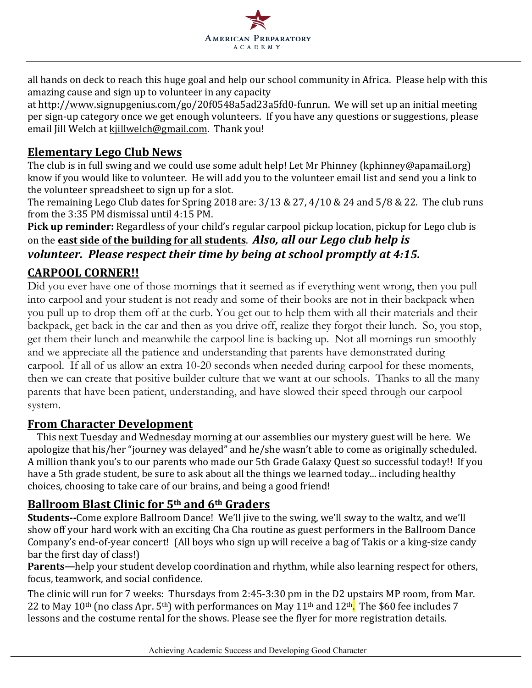

all hands on deck to reach this huge goal and help our school community in Africa. Please help with this amazing cause and sign up to volunteer in any capacity

at http://www.signupgenius.com/go/20f0548a5ad23a5fd0-funrun. We will set up an initial meeting per sign-up category once we get enough volunteers. If you have any questions or suggestions, please email Jill Welch at kjillwelch@gmail.com. Thank you!

## **Elementary Lego Club News**

The club is in full swing and we could use some adult help! Let Mr Phinney (kphinney@apamail.org) know if you would like to volunteer. He will add you to the volunteer email list and send you a link to the volunteer spreadsheet to sign up for a slot.

The remaining Lego Club dates for Spring 2018 are:  $3/13$  & 27,  $4/10$  & 24 and  $5/8$  & 22. The club runs from the 3:35 PM dismissal until 4:15 PM.

**Pick up reminder:** Regardless of your child's regular carpool pickup location, pickup for Lego club is on the **east side of the building for all students**. *Also, all our Lego club help is volunteer. Please respect their time by being at school promptly at 4:15.* 

# **CARPOOL CORNER!!**

Did you ever have one of those mornings that it seemed as if everything went wrong, then you pull into carpool and your student is not ready and some of their books are not in their backpack when you pull up to drop them off at the curb. You get out to help them with all their materials and their backpack, get back in the car and then as you drive off, realize they forgot their lunch. So, you stop, get them their lunch and meanwhile the carpool line is backing up. Not all mornings run smoothly and we appreciate all the patience and understanding that parents have demonstrated during carpool. If all of us allow an extra 10-20 seconds when needed during carpool for these moments, then we can create that positive builder culture that we want at our schools. Thanks to all the many parents that have been patient, understanding, and have slowed their speed through our carpool system.

## **From Character Development**

This next Tuesday and Wednesday morning at our assemblies our mystery guest will be here. We apologize that his/her "journey was delayed" and he/she wasn't able to come as originally scheduled. A million thank you's to our parents who made our 5th Grade Galaxy Quest so successful today!! If you have a 5th grade student, be sure to ask about all the things we learned today... including healthy choices, choosing to take care of our brains, and being a good friend!

## **Ballroom Blast Clinic for 5th and 6th Graders**

**Students--**Come explore Ballroom Dance! We'll jive to the swing, we'll sway to the waltz, and we'll show off your hard work with an exciting Cha Cha routine as guest performers in the Ballroom Dance Company's end-of-year concert! (All boys who sign up will receive a bag of Takis or a king-size candy bar the first day of class!)

**Parents—**help your student develop coordination and rhythm, while also learning respect for others, focus, teamwork, and social confidence.

The clinic will run for 7 weeks: Thursdays from 2:45-3:30 pm in the D2 upstairs MP room, from Mar. 22 to May 10<sup>th</sup> (no class Apr. 5<sup>th</sup>) with performances on May 11<sup>th</sup> and 12<sup>th</sup>. The \$60 fee includes 7 lessons and the costume rental for the shows. Please see the flyer for more registration details.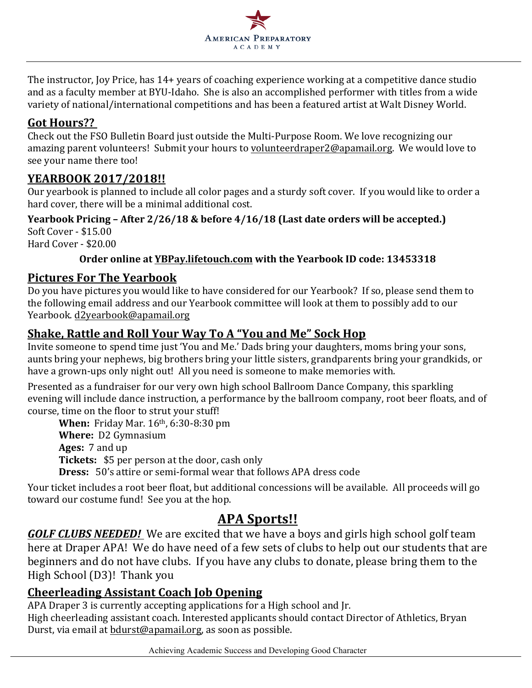

The instructor, Joy Price, has 14+ years of coaching experience working at a competitive dance studio and as a faculty member at BYU-Idaho. She is also an accomplished performer with titles from a wide variety of national/international competitions and has been a featured artist at Walt Disney World.

## **Got Hours??**

Check out the FSO Bulletin Board just outside the Multi-Purpose Room. We love recognizing our amazing parent volunteers! Submit your hours to volunteerdraper2@apamail.org. We would love to see your name there too!

# **YEARBOOK 2017/2018!!**

Our yearbook is planned to include all color pages and a sturdy soft cover. If you would like to order a hard cover, there will be a minimal additional cost.

# **Yearbook Pricing – After 2/26/18 & before 4/16/18 (Last date orders will be accepted.)** Soft Cover - \$15.00

Hard Cover - \$20.00

## **Order online at YBPay.lifetouch.com with the Yearbook ID code: 13453318**

## **Pictures For The Yearbook**

Do you have pictures you would like to have considered for our Yearbook? If so, please send them to the following email address and our Yearbook committee will look at them to possibly add to our Yearbook. d2yearbook@apamail.org

# **Shake, Rattle and Roll Your Way To A "You and Me" Sock Hop**

Invite someone to spend time just 'You and Me.' Dads bring your daughters, moms bring your sons, aunts bring your nephews, big brothers bring your little sisters, grandparents bring your grandkids, or have a grown-ups only night out! All you need is someone to make memories with.

Presented as a fundraiser for our very own high school Ballroom Dance Company, this sparkling evening will include dance instruction, a performance by the ballroom company, root beer floats, and of course, time on the floor to strut your stuff!

**When:** Friday Mar. 16<sup>th</sup>, 6:30-8:30 pm **Where:** D2 Gymnasium Ages: 7 and up **Tickets:** \$5 per person at the door, cash only **Dress:** 50's attire or semi-formal wear that follows APA dress code

Your ticket includes a root beer float, but additional concessions will be available. All proceeds will go toward our costume fund! See you at the hop.

# **APA Sports!!**

**GOLF CLUBS NEEDED!** We are excited that we have a boys and girls high school golf team here at Draper APA! We do have need of a few sets of clubs to help out our students that are beginners and do not have clubs. If you have any clubs to donate, please bring them to the High School (D3)! Thank you

# **Cheerleading Assistant Coach Job Opening**

APA Draper 3 is currently accepting applications for a High school and Jr. High cheerleading assistant coach. Interested applicants should contact Director of Athletics, Bryan Durst, via email at bdurst@apamail.org, as soon as possible.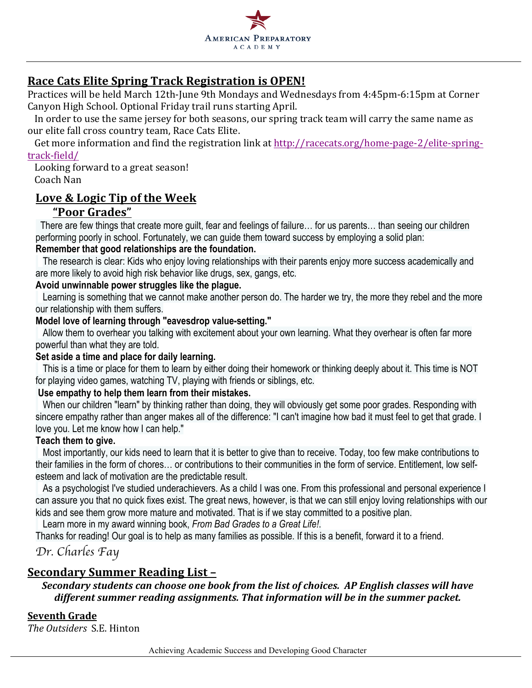

## **Race Cats Elite Spring Track Registration is OPEN!**

Practices will be held March 12th-June 9th Mondays and Wednesdays from 4:45pm-6:15pm at Corner Canyon High School. Optional Friday trail runs starting April.

In order to use the same jersey for both seasons, our spring track team will carry the same name as our elite fall cross country team, Race Cats Elite.

Get more information and find the registration link at http://racecats.org/home-page-2/elite-springtrack-field/

Looking forward to a great season! Coach Nan

## Love & Logic Tip of the Week

### **"Poor Grades"**

 There are few things that create more guilt, fear and feelings of failure… for us parents… than seeing our children performing poorly in school. Fortunately, we can guide them toward success by employing a solid plan:

### **Remember that good relationships are the foundation.**

 The research is clear: Kids who enjoy loving relationships with their parents enjoy more success academically and are more likely to avoid high risk behavior like drugs, sex, gangs, etc.

#### **Avoid unwinnable power struggles like the plague.**

 Learning is something that we cannot make another person do. The harder we try, the more they rebel and the more our relationship with them suffers.

#### **Model love of learning through "eavesdrop value-setting."**

 Allow them to overhear you talking with excitement about your own learning. What they overhear is often far more powerful than what they are told.

### **Set aside a time and place for daily learning.**

 This is a time or place for them to learn by either doing their homework or thinking deeply about it. This time is NOT for playing video games, watching TV, playing with friends or siblings, etc.

### **Use empathy to help them learn from their mistakes.**

 When our children "learn" by thinking rather than doing, they will obviously get some poor grades. Responding with sincere empathy rather than anger makes all of the difference: "I can't imagine how bad it must feel to get that grade. I love you. Let me know how I can help."

### **Teach them to give.**

 Most importantly, our kids need to learn that it is better to give than to receive. Today, too few make contributions to their families in the form of chores… or contributions to their communities in the form of service. Entitlement, low selfesteem and lack of motivation are the predictable result.

 As a psychologist I've studied underachievers. As a child I was one. From this professional and personal experience I can assure you that no quick fixes exist. The great news, however, is that we can still enjoy loving relationships with our kids and see them grow more mature and motivated. That is if we stay committed to a positive plan.

Learn more in my award winning book, *From Bad Grades to a Great Life!*.

Thanks for reading! Our goal is to help as many families as possible. If this is a benefit, forward it to a friend.

*Dr. Charles Fay*

### **Secondary Summer Reading List –**

### Secondary students can choose one book from the list of choices. AP English classes will have *different summer reading assignments. That information will be in the summer packet.*

### **Seventh Grade**

*The Outsiders* S.E. Hinton